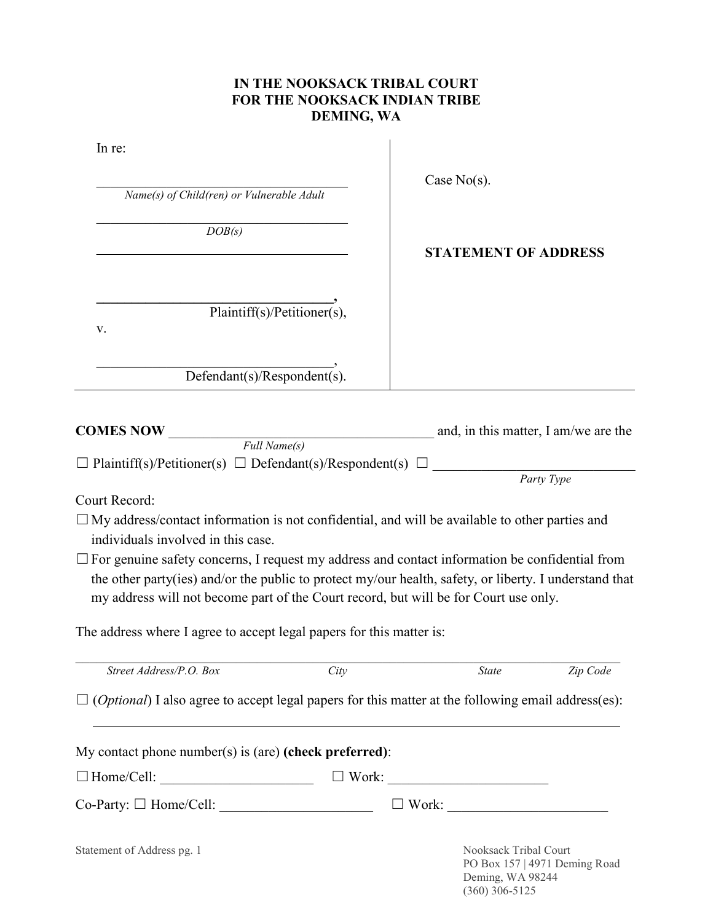## **IN THE NOOKSACK TRIBAL COURT FOR THE NOOKSACK INDIAN TRIBE DEMING, WA**

| In re:                                    |
|-------------------------------------------|
| Name(s) of Child(ren) or Vulnerable Adult |
| DOB(s)                                    |
|                                           |
| Plaintiff(s)/Petitioner(s),<br>v.         |
| Defendant(s)/Respondent(s).               |

Case No(s).

## **STATEMENT OF ADDRESS**

*Party Type*

(360) 306-5125

| <b>COMES NOW</b>                                                           | and, in this matter, I am/we are the |
|----------------------------------------------------------------------------|--------------------------------------|
| Full Name(s)                                                               |                                      |
| $\Box$ Plaintiff(s)/Petitioner(s) $\Box$ Defendant(s)/Respondent(s) $\Box$ |                                      |

Court Record:

- $\Box$  My address/contact information is not confidential, and will be available to other parties and individuals involved in this case.
- $\Box$  For genuine safety concerns, I request my address and contact information be confidential from the other party(ies) and/or the public to protect my/our health, safety, or liberty. I understand that my address will not become part of the Court record, but will be for Court use only.

The address where I agree to accept legal papers for this matter is:

| Street Address/P.O. Box                                                                                            | City         | <b>State</b>                              | Zip Code                      |
|--------------------------------------------------------------------------------------------------------------------|--------------|-------------------------------------------|-------------------------------|
| $\Box$ ( <i>Optional</i> ) I also agree to accept legal papers for this matter at the following email address(es): |              |                                           |                               |
| My contact phone number(s) is (are) (check preferred):                                                             |              |                                           |                               |
| $\Box$ Home/Cell:                                                                                                  | Work:        |                                           |                               |
| $Co\text{-}Party: \Box \text{Home}/Cell:$                                                                          | $\Box$ Work: |                                           |                               |
| Statement of Address pg. 1                                                                                         |              | Nooksack Tribal Court<br>Deming, WA 98244 | PO Box 157   4971 Deming Road |